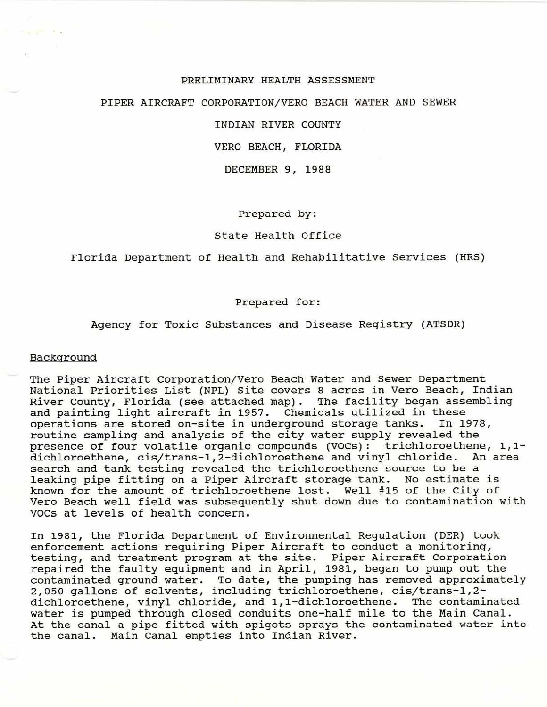#### PRELIMINARY HEALTH ASSESSMENT

# PIPER AIRCRAFT CORPORATION/ VERO BEACH WATER AND SEWER

INDIAN RIVER COUNTY

VERO BEACH, FLORIDA

DECEMBER 9, 1988

Prepared by:

#### State Health Office

Florida Department of Health and Rehabilitative Services (HRS)

#### Prepared for:

# Agency for Toxic Substances and Disease Registry (ATSDR)

#### Background

The Piper Aircraft Corporation/Vero Beach Water and Sewer Department National Priorities List (NPL) site covers 8 acres in Vero Beach, Indian River County, Florida (see attached map). The facility began assembling and painting light aircraft in 1957. Chemicals utilized in these operations are stored on-site in underground storage tanks. In 1978, operations are stored on-site in underground storage tanks. routine sampling and analysis of the city water supply revealed the presence of four volatile organic compounds (VOCs): trichloroethene, 1,1 dichloroethene, cis/trans-1,2-dichloroethene and vinyl chloride. An area search and tank testing revealed the trichloroethene source to be a leaking pipe fitting on a Piper Aircraft storage tank. No estimate is known for the amount of trichloroethene lost. Well #15 of the City of Vero Beach well field was subsequently shut down due to contamination with VOCs at levels of health concern.

In 1981, the Florida Department of Environmental Regulation (DER) took enforcement actions requiring Piper Aircraft to conduct a monitoring, testing, and treatment program at the site. Piper Aircraft Corporation repaired the faulty equipment and in April, 1981, began to pump out the contaminated ground water. To date, the pumping has removed approximately 2,050 gallons of solvents, including trichloroethene, cis/trans-1,2 dichloroethene, vinyl chloride, and 1,1-dichloroethene. The contaminated water is pumped through closed conduits one-half mile to the Main Canal. At the canal a pipe fitted with spigots sprays the contaminated water into the canal. Main Canal empties into Indian River.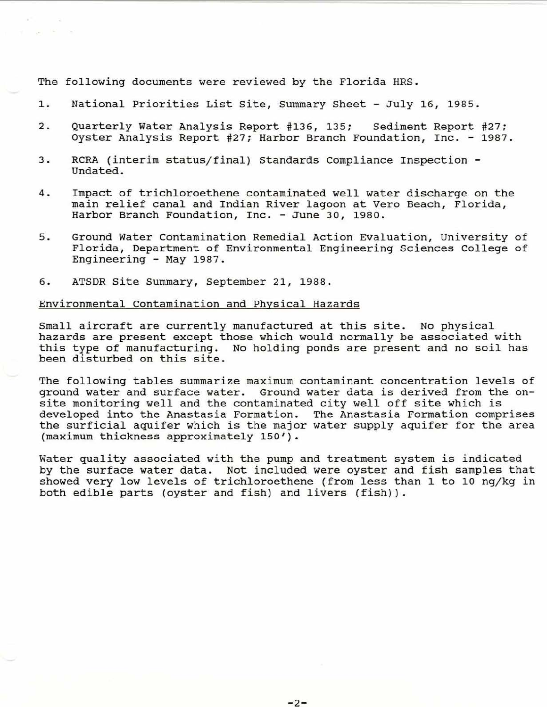The following documents were reviewed by the Florida HRS.

- 1. National Priorities List site, Summary Sheet July 16, 1985 .
- 2. Quarterly Water Analysis Report #136, 135; Sediment Report #27; Oyster Analysis Report #27; Harbor Branch Foundation, Inc. - 1987.
- <sup>3</sup> . RCRA (interim status/ final) Standards Compliance Inspection Undated.
- 4. Impact of trichloroethene contaminated well water discharge on the main relief canal and Indian River lagoon at Vero Beach, Florida, Harbor Branch Foundation, Inc. - June 30, 1980.
- 5. Ground water contamination Remedial Action Evaluation, University of Florida, Department of Environmental Engineering Sciences College of Engineering - May 1987.
- 6. ATSDR site Summary, September 21, 1988.

#### Environmental Contamination and Physical Hazards

Small aircraft are currently manufactured at this site. No physical hazards are present except those which would normally be associated with this type of manufacturing. No holding ponds are present and no soil has been disturbed on this site.

The following tables summarize maximum contaminant concentration levels of ground water and surface water. Ground water data is derived from the onsite monitoring well and the contaminated city well off site which is developed into the Anastasia Formation. The Anastasia Formation comprises the surficial aquifer which is the major water supply aquifer for the area (maximum thickness approximately 150').

Water quality associated with the pump and treatment system is indicated by the surface water data. Not included were oyster and fish samples that showed very low levels of trichloroethene (from less than 1 to 10 ng/kg in both edible parts (oyster and fish) and livers (fish)).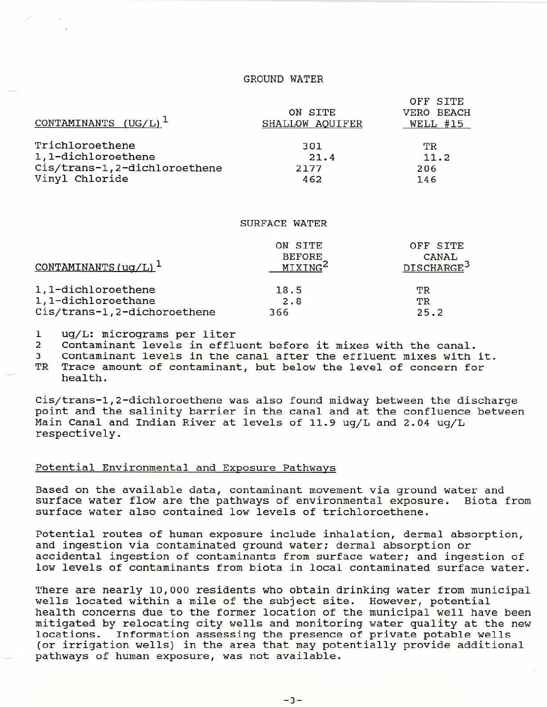# GROUND WATER

DE GIED

| CONTAMINANTS $(UG/L)^1$      | ON SITE<br>SHALLOW AQUIFER | UPP SITE<br>VERO BEACH<br>WELL #15 |
|------------------------------|----------------------------|------------------------------------|
| Trichloroethene              | 301                        | ТR                                 |
| 1,1-dichloroethene           | 21.4                       | 11.2                               |
| Cis/trans-1,2-dichloroethene | 2177                       | 206                                |
| Vinyl Chloride               | 462                        | 146                                |

#### SURFACE WATER

| CONTAMINANTS $( uq/L )$ <sup>1</sup> | ON SITE<br><b>BEFORE</b><br>MIXING <sup>2</sup> | OFF SITE<br>CANAL<br>DISCHARGE <sup>3</sup> |
|--------------------------------------|-------------------------------------------------|---------------------------------------------|
| 1,1-dichloroethene                   | 18.5                                            | TR                                          |
| 1,1-dichloroethane                   | 2.8                                             | TR                                          |
| Cis/trans-1,2-dichoroethene          | 366                                             | 25.2                                        |

1 ug/L: micrograms per liter<br>2 Contaminant levels in effly

2 Contaminant levels in effluent before it mixes with the canal.<br>3 Contaminant levels in the canal after the effluent mixes with

3 Contaminant levels in the canal after the effluent mixes with it.<br>TR Trace amount of contaminant, but below the level of concern for

Trace amount of contaminant, but below the level of concern for

health.

Cis/ trans-l,2-dichloroethene was also found midway between the discharge point and the salinity barrier in the canal and at the confluence between Main Canal and Indian River at levels of 11.9 ug/L and 2.04 ug/L respectively.

## Potential Environmental and Exposure Pathways

Based on the available data, contaminant movement via ground water and<br>surface water flow are the pathways of environmental exposure. Biota from surface water flow are the pathways of environmental exposure. surface water also contained low levels of trichloroethene.

Potential routes of human exposure include inhalation, dermal absorption, and ingestion via contaminated ground water; dermal absorption or accidental ingestion of contaminants from surface water; and ingestion of low levels of contaminants from biota in local contaminated surface water.

There are nearly 10,000 residents who obtain drinking water from municipal wells located within a mile of the subject site. However, potential health concerns due to the former location of the municipal well have been mitigated by relocating city wells and monitoring water quality at the new locations. Information assessing the presence of private potable wells (or irrigation wells) in the area that may potentially provide additional pathways of human exposure, was not available.